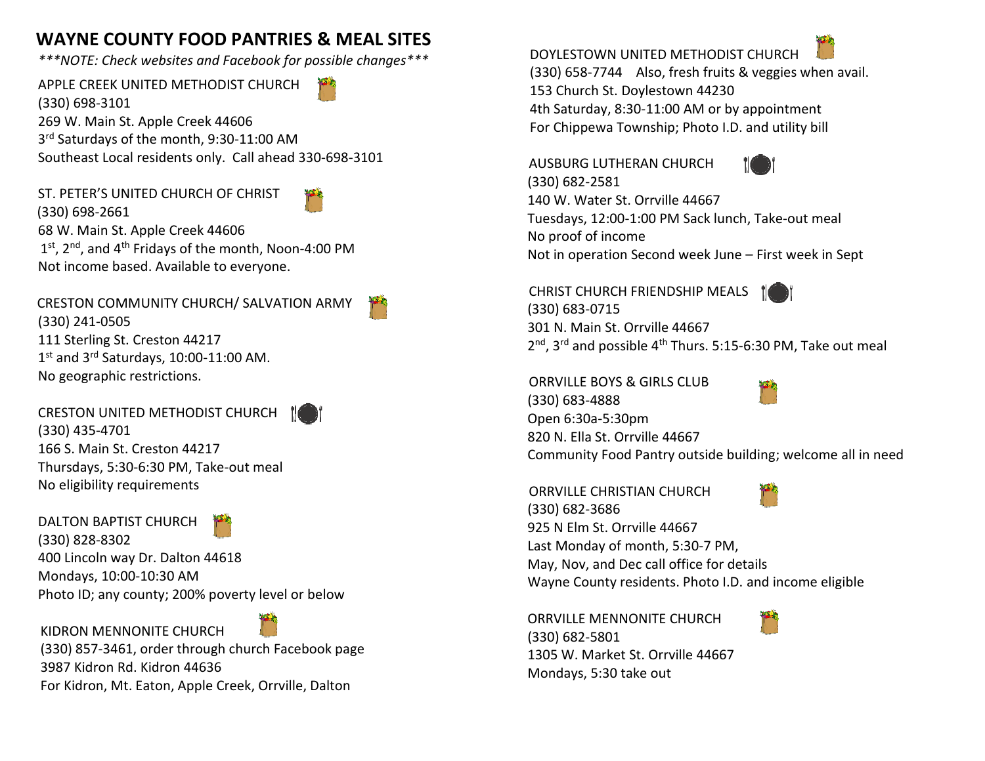## **WAYNE COUNTY FOOD PANTRIES & MEAL SITES**

*\*\*\*NOTE: Check websites and Facebook for possible changes\*\*\**

APPLE CREEK UNITED METHODIST CHURCH (330) 698-3101 269 W. Main St. Apple Creek 44606 3<sup>rd</sup> Saturdays of the month, 9:30-11:00 AM Southeast Local residents only. Call ahead 330-698-3101

ST. PETER'S UNITED CHURCH OF CHRIST (330) 698-2661



68 W. Main St. Apple Creek 44606 1<sup>st</sup>, 2<sup>nd</sup>, and 4<sup>th</sup> Fridays of the month, Noon-4:00 PM Not income based. Available to everyone.

 CRESTON COMMUNITY CHURCH/ SALVATION ARMY (330) 241-0505 111 Sterling St. Creston 44217 1<sup>st</sup> and 3<sup>rd</sup> Saturdays, 10:00-11:00 AM. No geographic restrictions.

CRESTON UNITED METHODIST CHURCH (330) 435-4701 166 S. Main St. Creston 44217 Thursdays, 5:30-6:30 PM, Take-out meal No eligibility requirements

DALTON BAPTIST CHURCH



(330) 828-8302 400 Lincoln way Dr. Dalton 44618 Mondays, 10:00-10:30 AM Photo ID; any county; 200% poverty level or below

 KIDRON MENNONITE CHURCH (330) 857-3461, order through church Facebook page 3987 Kidron Rd. Kidron 44636 For Kidron, Mt. Eaton, Apple Creek, Orrville, Dalton

DOYLESTOWN UNITED METHODIST CHURCH

 (330) 658-7744 Also, fresh fruits & veggies when avail. 153 Church St. Doylestown 44230 4th Saturday, 8:30-11:00 AM or by appointment For Chippewa Township; Photo I.D. and utility bill

 AUSBURG LUTHERAN CHURCH (330) 682-2581 140 W. Water St. Orrville 44667 Tuesdays, 12:00-1:00 PM Sack lunch, Take-out meal No proof of income Not in operation Second week June – First week in Sept

 CHRIST CHURCH FRIENDSHIP MEALS (330) 683-0715 301 N. Main St. Orrville 44667 2<sup>nd</sup>, 3<sup>rd</sup> and possible 4<sup>th</sup> Thurs. 5:15-6:30 PM, Take out meal

 ORRVILLE BOYS & GIRLS CLUB (330) 683-4888 Open 6:30a-5:30pm 820 N. Ella St. Orrville 44667 Community Food Pantry outside building; welcome all in need

 ORRVILLE CHRISTIAN CHURCH (330) 682-3686 925 N Elm St. Orrville 44667 Last Monday of month, 5:30-7 PM, May, Nov, and Dec call office for details Wayne County residents. Photo I.D. and income eligible

ORRVILLE MENNONITE CHURCH (330) 682-5801 1305 W. Market St. Orrville 44667 Mondays, 5:30 take out

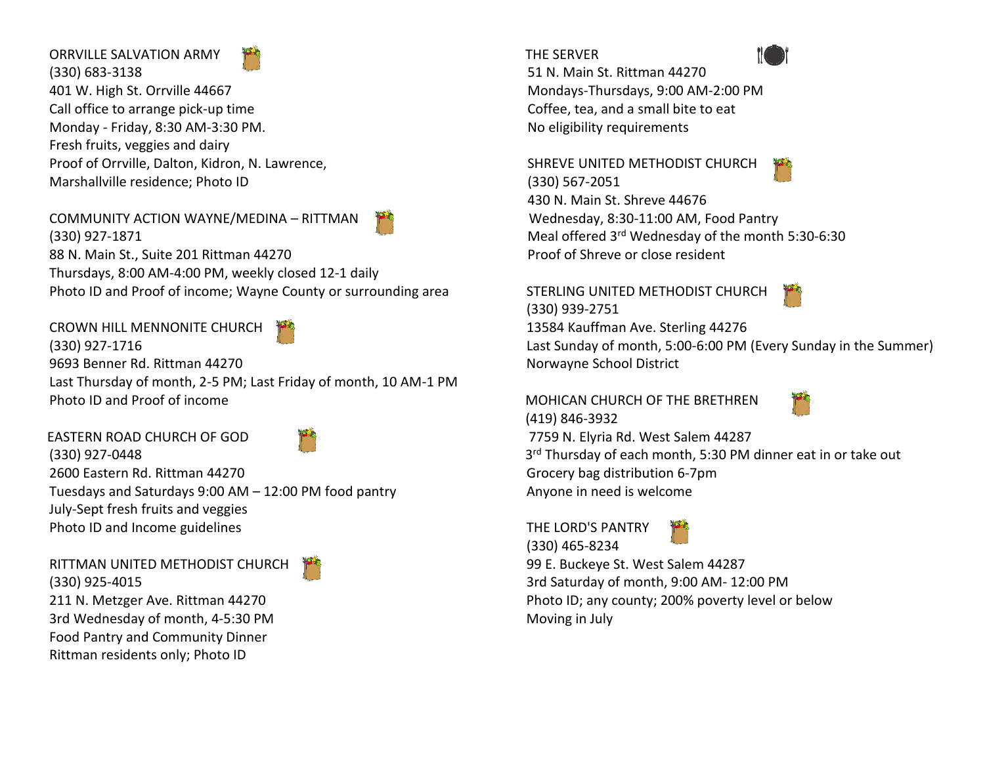## ORRVILLE SALVATION ARMY (330) 683-3138 401 W. High St. Orrville 44667 Call office to arrange pick-up time Monday - Friday, 8:30 AM-3:30 PM. Fresh fruits, veggies and dairy Proof of Orrville, Dalton, Kidron, N. Lawrence, Marshallville residence; Photo ID

## COMMUNITY ACTION WAYNE/MEDINA – RITTMAN



CROWN HILL MENNONITE CHURCH (330) 927-1716 9693 Benner Rd. Rittman 44270 Last Thursday of month, 2-5 PM; Last Friday of month, 10 AM-1 PM Photo ID and Proof of income

 EASTERN ROAD CHURCH OF GOD (330) 927-0448 2600 Eastern Rd. Rittman 44270 Tuesdays and Saturdays 9:00 AM – 12:00 PM food pantry July-Sept fresh fruits and veggies Photo ID and Income guidelines

RITTMAN UNITED METHODIST CHURCH (330) 925-4015 211 N. Metzger Ave. Rittman 44270 3rd Wednesday of month, 4-5:30 PM Food Pantry and Community Dinner Rittman residents only; Photo ID





SHREVE UNITED METHODIST CHURCH (330) 567-2051 430 N. Main St. Shreve 44676 Wednesday, 8:30-11:00 AM, Food Pantry Meal offered 3rd Wednesday of the month 5:30-6:30 Proof of Shreve or close resident

 STERLING UNITED METHODIST CHURCH (330) 939-2751



 13584 Kauffman Ave. Sterling 44276 Last Sunday of month, 5:00-6:00 PM (Every Sunday in the Summer) Norwayne School District

 MOHICAN CHURCH OF THE BRETHREN (419) 846-3932



 7759 N. Elyria Rd. West Salem 44287 3<sup>rd</sup> Thursday of each month, 5:30 PM dinner eat in or take out Grocery bag distribution 6-7pm Anyone in need is welcome

THE LORD'S PANTRY



 (330) 465-8234 99 E. Buckeye St. West Salem 44287 3rd Saturday of month, 9:00 AM- 12:00 PM Photo ID; any county; 200% poverty level or below Moving in July